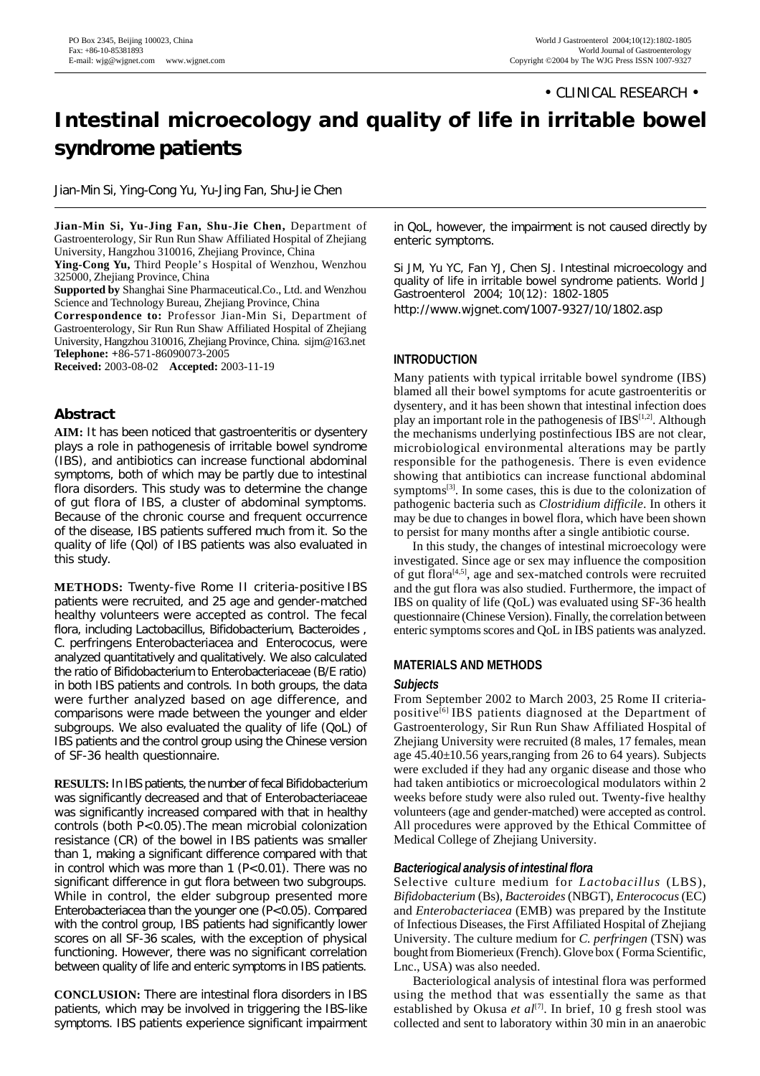• CLINICAL RESEARCH •

# **Intestinal microecology and quality of life in irritable bowel syndrome patients**

Jian-Min Si, Ying-Cong Yu, Yu-Jing Fan, Shu-Jie Chen

**Jian-Min Si, Yu-Jing Fan, Shu-Jie Chen,** Department of Gastroenterology, Sir Run Run Shaw Affiliated Hospital of Zhejiang University, Hangzhou 310016, Zhejiang Province, China

**Ying-Cong Yu,** Third People's Hospital of Wenzhou, Wenzhou 325000, Zhejiang Province, China

**Supported by** Shanghai Sine Pharmaceutical.Co., Ltd. and Wenzhou Science and Technology Bureau, Zhejiang Province, China

**Correspondence to:** Professor Jian-Min Si, Department of Gastroenterology, Sir Run Run Shaw Affiliated Hospital of Zhejiang University, Hangzhou 310016, Zhejiang Province, China. sijm@163.net **Telephone: +**86-571-86090073-2005

**Received:** 2003-08-02 **Accepted:** 2003-11-19

# **Abstract**

**AIM:** It has been noticed that gastroenteritis or dysentery plays a role in pathogenesis of irritable bowel syndrome (IBS), and antibiotics can increase functional abdominal symptoms, both of which may be partly due to intestinal flora disorders. This study was to determine the change of gut flora of IBS, a cluster of abdominal symptoms. Because of the chronic course and frequent occurrence of the disease, IBS patients suffered much from it. So the quality of life (Qol) of IBS patients was also evaluated in this study.

**METHODS:** Twenty-five Rome II criteria-positive IBS patients were recruited, and 25 age and gender-matched healthy volunteers were accepted as control. The fecal flora, including *Lactobacillus, Bifidobacterium, Bacteroides , C. perfringens Enterobacteriacea* and *Enterococus*, were analyzed quantitatively and qualitatively. We also calculated the ratio of *Bifidobacterium* to *Enterobacteriaceae* (B/E ratio) in both IBS patients and controls. In both groups, the data were further analyzed based on age difference, and comparisons were made between the younger and elder subgroups. We also evaluated the quality of life (QoL) of IBS patients and the control group using the Chinese version of SF-36 health questionnaire.

**RESULTS:**In IBS patients, the number of fecal *Bifidobacterium* was significantly decreased and that of *Enterobacteriaceae* was significantly increased compared with that in healthy controls (both *P*<0.05).The mean microbial colonization resistance (CR) of the bowel in IBS patients was smaller than 1, making a significant difference compared with that in control which was more than 1 (*P*<0.01). There was no significant difference in gut flora between two subgroups. While in control, the elder subgroup presented more *Enterobacteriacea* than the younger one (*P*<0.05). Compared with the control group, IBS patients had significantly lower scores on all SF-36 scales, with the exception of physical functioning. However, there was no significant correlation between quality of life and enteric symptoms in IBS patients.

**CONCLUSION:** There are intestinal flora disorders in IBS patients, which may be involved in triggering the IBS-like symptoms. IBS patients experience significant impairment in QoL, however, the impairment is not caused directly by enteric symptoms.

Si JM, Yu YC, Fan YJ, Chen SJ. Intestinal microecology and quality of life in irritable bowel syndrome patients. *World J Gastroenterol* 2004; 10(12): 1802-1805 http://www.wjgnet.com/1007-9327/10/1802.asp

# **INTRODUCTION**

Many patients with typical irritable bowel syndrome (IBS) blamed all their bowel symptoms for acute gastroenteritis or dysentery, and it has been shown that intestinal infection does play an important role in the pathogenesis of IBS<sup>[1,2]</sup>. Although the mechanisms underlying postinfectious IBS are not clear, microbiological environmental alterations may be partly responsible for the pathogenesis. There is even evidence showing that antibiotics can increase functional abdominal symptoms<sup>[3]</sup>. In some cases, this is due to the colonization of pathogenic bacteria such as *Clostridium difficile*. In others it may be due to changes in bowel flora, which have been shown to persist for many months after a single antibiotic course.

In this study, the changes of intestinal microecology were investigated. Since age or sex may influence the composition of gut flora [4,5] , age and sex-matched controls were recruited and the gut flora was also studied. Furthermore, the impact of IBS on quality of life (QoL) was evaluated using SF-36 health questionnaire (Chinese Version). Finally, the correlation between enteric symptoms scores and QoL in IBS patients was analyzed.

# **MATERIALS AND METHODS**

#### *Subjects*

From September 2002 to March 2003, 25 Rome II criteriapositive<sup>[6]</sup> IBS patients diagnosed at the Department of Gastroenterology, Sir Run Run Shaw Affiliated Hospital of Zhejiang University were recruited (8 males, 17 females, mean age 45.40±10.56 years,ranging from 26 to 64 years). Subjects were excluded if they had any organic disease and those who had taken antibiotics or microecological modulators within 2 weeks before study were also ruled out. Twenty-five healthy volunteers(age and gender-matched) were accepted as control. All procedures were approved by the Ethical Committee of Medical College of Zhejiang University.

# *Bacteriogical analysis of intestinal flora*

Selective culture medium for *Lactobacillus* (LBS), *Bifidobacterium* (Bs), *Bacteroides*(NBGT), *Enterococus*(EC) and *Enterobacteriacea* (EMB) was prepared by the Institute of Infectious Diseases, the First Affiliated Hospital of Zhejiang University. The culture medium for *C. perfringen* (TSN) was bought from Biomerieux (French). Glove box (Forma Scientific, Lnc., USA) was also needed.

Bacteriological analysis of intestinal flora was performed using the method that was essentially the same as that established by Okusa *et al*<sup>[7]</sup>. In brief, 10 g fresh stool was collected and sent to laboratory within 30 min in an anaerobic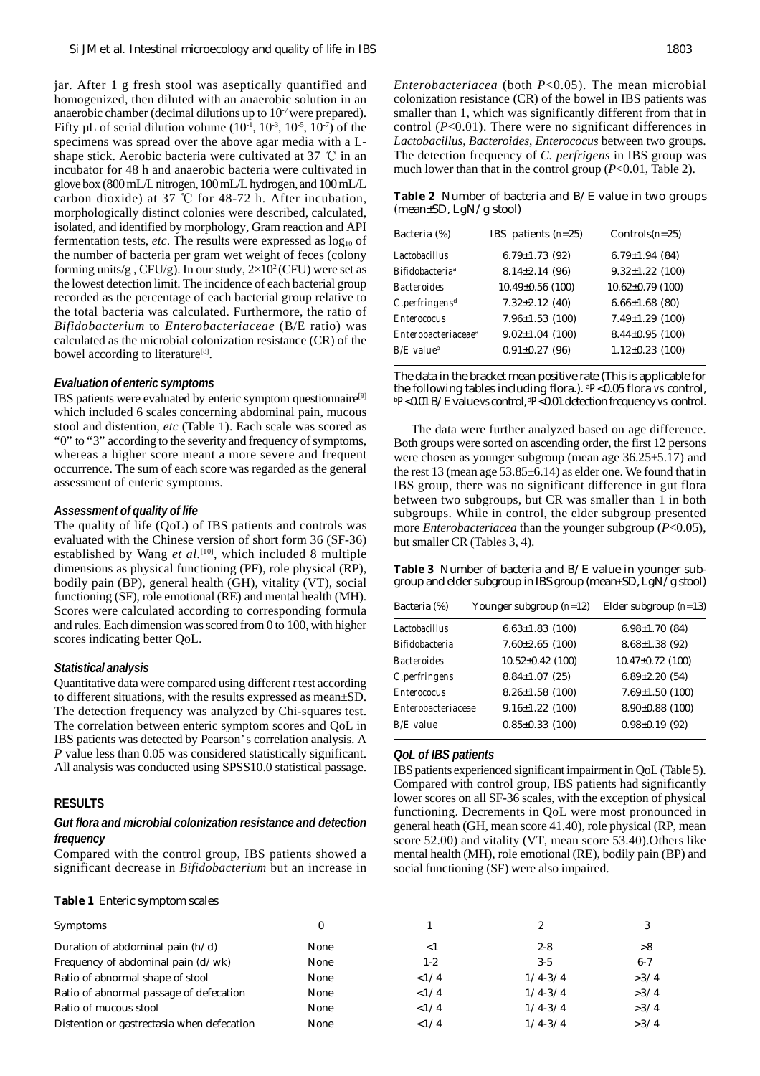jar. After 1 g fresh stool was aseptically quantified and homogenized, then diluted with an anaerobic solution in an anaerobic chamber (decimal dilutions up to  $10<sup>7</sup>$  were prepared). Fifty µL of serial dilution volume  $(10^{-1}, 10^{-3}, 10^{-5}, 10^{-7})$  of the specimens was spread over the above agar media with a Lshape stick. Aerobic bacteria were cultivated at 37  $\degree$ C in an incubator for 48 h and anaerobic bacteria were cultivated in glovebox (800mL/Lnitrogen,100mL/Lhydrogen, and 100mL/L carbon dioxide) at 37  $\degree$ C for 48-72 h. After incubation, morphologically distinct colonies were described, calculated, isolated, and identified by morphology, Gram reaction and API fermentation tests, *etc*. The results were expressed as  $log_{10}$  of the number of bacteria per gram wet weight of feces (colony forming units/g, CFU/g). In our study,  $2\times10^2$  (CFU) were set as the lowest detection limit. The incidence of each bacterial group recorded as the percentage of each bacterial group relative to the total bacteria was calculated. Furthermore, the ratio of *Bifidobacterium* to *Enterobacteriaceae* (B/E ratio) was calculated as the microbial colonization resistance (CR) of the bowel according to literature<sup>[8]</sup>.

#### *Evaluation of enteric symptoms*

IBS patients were evaluated by enteric symptom questionnaire<sup>[9]</sup> which included 6 scales concerning abdominal pain, mucous stool and distention, *etc* (Table 1). Each scale was scored as "0" to "3" according to the severity and frequency of symptoms, whereas a higher score meant a more severe and frequent occurrence. The sum of each score was regarded asthe general assessment of enteric symptoms.

#### *Assessment of quality of life*

The quality of life (QoL) of IBS patients and controls was evaluated with the Chinese version of short form 36 (SF-36) established by Wang *et al.*<sup>[10]</sup>, which included 8 multiple dimensions as physical functioning (PF), role physical (RP), bodily pain (BP), general health (GH), vitality (VT), social functioning (SF), role emotional (RE) and mental health (MH). Scores were calculated according to corresponding formula and rules. Each dimension wasscored from 0 to 100, with higher scores indicating better QoL.

#### *Statistical analysis*

Quantitative data were compared using different *t* test according to different situations, with the results expressed as mean±SD. The detection frequency was analyzed by Chi-squares test. The correlation between enteric symptom scores and QoL in IBS patients was detected by Pearson's correlation analysis. A *P* value less than 0.05 was considered statistically significant. All analysis was conducted using SPSS10.0 statistical passage.

## **RESULTS**

### *Gut flora and microbial colonization resistance and detection frequency*

Compared with the control group, IBS patients showed a significant decrease in *Bifidobacterium* but an increase in

|  |  |  |  | <b>Table 1</b> Enteric symptom scales |  |  |  |  |  |
|--|--|--|--|---------------------------------------|--|--|--|--|--|
|--|--|--|--|---------------------------------------|--|--|--|--|--|

*Enterobacteriacea* (both *P*<0.05). The mean microbial colonization resistance (CR) of the bowel in IBS patients was smaller than 1, which was significantly different from that in control (*P*<0.01). There were no significant differences in *Lactobacillus*, *Bacteroides*, *Enterococus* between two groups. The detection frequency of *C. perfrigens* in IBS group was much lower than that in the control group (*P*<0.01, Table 2).

**Table 2** Number of bacteria and B/E value in two groups (mean±SD, LgN/g stool)

| Bacteria (%)                       | IBS patients $(n=25)$ | Controls $(n=25)$      |
|------------------------------------|-----------------------|------------------------|
| Lactobacillus                      | $6.79 \pm 1.73$ (92)  | $6.79 \pm 1.94$ (84)   |
| <b>Bifidobacteria</b> <sup>a</sup> | $8.14 \pm 2.14$ (96)  | $9.32 \pm 1.22$ (100)  |
| <i>Bacteroides</i>                 | $10.49\pm0.56$ (100)  | $10.62 \pm 0.79$ (100) |
| $C.$ perfringens <sup>d</sup>      | $7.32 \pm 2.12$ (40)  | $6.66 \pm 1.68$ (80)   |
| <b>Enterococus</b>                 | $7.96 \pm 1.53$ (100) | $7.49 \pm 1.29$ (100)  |
| Enterobacteriaceae <sup>a</sup>    | $9.02 \pm 1.04$ (100) | $8.44 \pm 0.95$ (100)  |
| $B/E$ value <sup>b</sup>           | $0.91 \pm 0.27$ (96)  | $1.12 \pm 0.23$ (100)  |
|                                    |                       |                        |

The data in the bracket mean positive rate (This is applicable for the following tables including flora.). <sup>a</sup>*P*<0.05 flora *vs* control, <sup>b</sup>P<0.01 B/E value *vs* control, <sup>d</sup>P<0.01 detection frequency *vs* control.

The data were further analyzed based on age difference. Both groups were sorted on ascending order, the first 12 persons were chosen as younger subgroup (mean age 36.25±5.17) and the rest 13 (mean age  $53.85 \pm 6.14$ ) as elder one. We found that in IBS group, there was no significant difference in gut flora between two subgroups, but CR was smaller than 1 in both subgroups. While in control, the elder subgroup presented more *Enterobacteriacea* than the younger subgroup (*P*<0.05), but smaller CR (Tables 3, 4).

**Table 3** Number of bacteria and B/E value in younger subgroup and elder subgroup in IBS group (mean $\pm$ SD, LgN/g stool)

| Bacteria (%)              | Younger subgroup $(n=12)$ | Elder subgroup $(n=13)$ |
|---------------------------|---------------------------|-------------------------|
| <b>Lactobacillus</b>      | $6.63 \pm 1.83$ (100)     | $6.98 \pm 1.70$ (84)    |
| <b>Bifidobacteria</b>     | $7.60 \pm 2.65$ (100)     | $8.68 \pm 1.38$ (92)    |
| <b>Bacteroides</b>        | $10.52 \pm 0.42$ (100)    | $10.47 \pm 0.72$ (100)  |
| C.perfringens             | $8.84 \pm 1.07$ (25)      | $6.89 \pm 2.20(54)$     |
| <b>Enterococus</b>        | $8.26 \pm 1.58$ (100)     | $7.69 \pm 1.50$ (100)   |
| <b>Enterobacteriaceae</b> | $9.16 \pm 1.22$ (100)     | $8.90 \pm 0.88$ (100)   |
| $B/E$ value               | $0.85 \pm 0.33$ (100)     | $0.98\pm0.19(92)$       |
|                           |                           |                         |

#### *QoL of IBS patients*

IBS patients experienced significant impairment in QoL (Table 5). Compared with control group, IBS patients had significantly lower scores on all SF-36 scales, with the exception of physical functioning. Decrements in QoL were most pronounced in general heath (GH, mean score 41.40), role physical (RP, mean score 52.00) and vitality (VT, mean score 53.40).Others like mental health (MH), role emotional (RE), bodily pain (BP) and social functioning (SF) were also impaired.

| Symptoms                                   | 0    |          |             |         |
|--------------------------------------------|------|----------|-------------|---------|
| Duration of abdominal pain $(h/d)$         | None | $\leq$ 1 | $2 - 8$     | >8      |
| Frequency of abdominal pain $(d/wk)$       | None | $1 - 2$  | $3 - 5$     | $6 - 7$ |
| Ratio of abnormal shape of stool           | None | <1/4     | $1/4 - 3/4$ | >3/4    |
| Ratio of abnormal passage of defecation    | None | <1/4     | $1/4 - 3/4$ | >3/4    |
| Ratio of mucous stool                      | None | <1/4     | $1/4 - 3/4$ | >3/4    |
| Distention or gastrectasia when defecation | None | <1/4     | $1/4 - 3/4$ | >3/4    |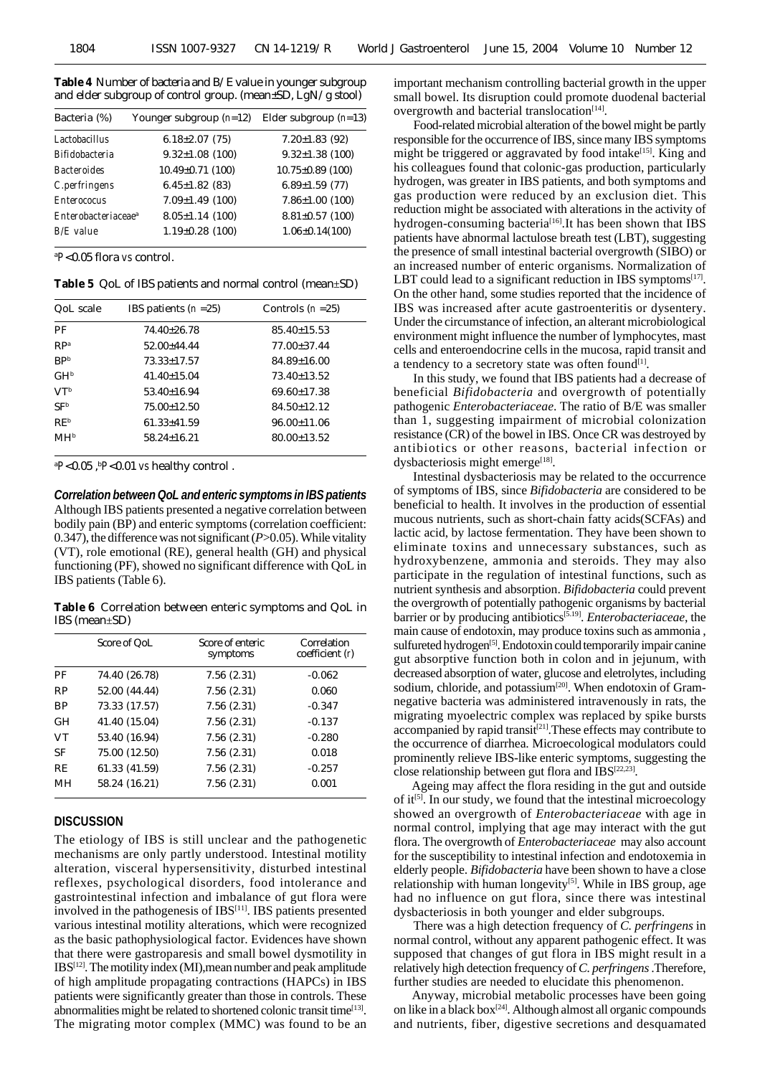**Table 4** Number of bacteria and B/E value in younger subgroup and elder subgroup of control group. (mean±SD, LgN/g stool)

| Bacteria (%)                    | Younger subgroup $(n=12)$ | Elder subgroup $(n=13)$ |
|---------------------------------|---------------------------|-------------------------|
| <b>Lactobacillus</b>            | $6.18 \pm 2.07$ (75)      | $7.20 \pm 1.83$ (92)    |
| <b>Bifidobacteria</b>           | $9.32 \pm 1.08$ (100)     | $9.32 \pm 1.38$ (100)   |
| <b>Bacteroides</b>              | $10.49 \pm 0.71$ (100)    | $10.75 \pm 0.89$ (100)  |
| C.perfringens                   | $6.45 \pm 1.82$ (83)      | $6.89 \pm 1.59$ (77)    |
| <b>Enterococus</b>              | $7.09 \pm 1.49$ (100)     | $7.86 \pm 1.00$ (100)   |
| Enterobacteriaceae <sup>a</sup> | $8.05 \pm 1.14$ (100)     | $8.81 \pm 0.57$ (100)   |
| $B/E$ value                     | $1.19\pm0.28$ (100)       | $1.06 \pm 0.14(100)$    |

<sup>a</sup>*P*<0.05 flora *vs* control.

**Table 5** QoL of IBS patients and normal control (mean±SD)

| QoL scale       | IBS patients $(n=25)$ | Controls $(n=25)$ |
|-----------------|-----------------------|-------------------|
| РF              | $74.40 \pm 26.78$     | $85.40 \pm 15.53$ |
| RP <sub>a</sub> | $52.00 \pm 44.44$     | $77.00 \pm 37.44$ |
| BP <sub>b</sub> | $73.33 \pm 17.57$     | $84.89 \pm 16.00$ |
| GH <sup>b</sup> | $41.40 \pm 15.04$     | $73.40 \pm 13.52$ |
| V <sup>Tb</sup> | $53.40 \pm 16.94$     | $69.60 \pm 17.38$ |
| SF <sup>b</sup> | $75.00 \pm 12.50$     | $84.50 \pm 12.12$ |
| RE <sup>b</sup> | $61.33 \pm 41.59$     | $96.00 \pm 11.06$ |
| MHb             | $58.24 \pm 16.21$     | $80.00 \pm 13.52$ |

<sup>a</sup>*P*<0.05 , <sup>b</sup>*P*<0.01 *vs* healthy control .

*Correlation betweenQoL and enteric symptoms in IBS patients* Although IBS patients presented a negative correlation between bodily pain (BP) and enteric symptoms(correlation coefficient: 0.347), the difference was not significant ( $P > 0.05$ ). While vitality (VT), role emotional (RE), general health (GH) and physical functioning (PF), showed no significant difference with QoL in IBS patients (Table 6).

**Table 6** Correlation between enteric symptoms and QoL in IBS (mean±SD)

|           | Score of QoL  | Score of enteric<br>symptoms | Correlation<br>coefficient $(r)$ |
|-----------|---------------|------------------------------|----------------------------------|
| PF        | 74.40 (26.78) | 7.56(2.31)                   | $-0.062$                         |
| <b>RP</b> | 52.00 (44.44) | 7.56(2.31)                   | 0.060                            |
| <b>BP</b> | 73.33 (17.57) | 7.56(2.31)                   | $-0.347$                         |
| <b>GH</b> | 41.40 (15.04) | 7.56(2.31)                   | $-0.137$                         |
| <b>VT</b> | 53.40 (16.94) | 7.56(2.31)                   | $-0.280$                         |
| SF        | 75.00 (12.50) | 7.56(2.31)                   | 0.018                            |
| <b>RE</b> | 61.33 (41.59) | 7.56(2.31)                   | $-0.257$                         |
| MН        | 58.24 (16.21) | 7.56(2.31)                   | 0.001                            |

#### **DISCUSSION**

The etiology of IBS is still unclear and the pathogenetic mechanisms are only partly understood. Intestinal motility alteration, visceral hypersensitivity, disturbed intestinal reflexes, psychological disorders, food intolerance and gastrointestinal infection and imbalance of gut flora were involved in the pathogenesis of IBS<sup>[11]</sup>. IBS patients presented various intestinal motility alterations, which were recognized as the basic pathophysiological factor. Evidences have shown that there were gastroparesis and small bowel dysmotility in  $IBS<sup>[12]</sup>$ . The motility index (MI), mean number and peak amplitude of high amplitude propagating contractions (HAPCs) in IBS patients were significantly greater than those in controls. These abnormalities might be related to shortened colonic transit time<sup>[13]</sup>. The migrating motor complex (MMC) was found to be an important mechanism controlling bacterial growth in the upper small bowel. Its disruption could promote duodenal bacterial overgrowth and bacterial translocation<sup>[14]</sup>.

Food-related microbial alteration of the bowel might be partly responsible for the occurrence of IBS, since many IBS symptoms might be triggered or aggravated by food intake<sup>[15]</sup>. King and his colleagues found that colonic-gas production, particularly hydrogen, was greater in IBS patients, and both symptoms and gas production were reduced by an exclusion diet. This reduction might be associated with alterations in the activity of hydrogen-consuming bacteria<sup>[16]</sup>. It has been shown that IBS patients have abnormal lactulose breath test (LBT), suggesting the presence of small intestinal bacterial overgrowth (SIBO) or an increased number of enteric organisms. Normalization of LBT could lead to a significant reduction in IBS symptoms $[17]$ . On the other hand, some studies reported that the incidence of IBS was increased after acute gastroenteritis or dysentery. Under the circumstance of infection, an alterant microbiological environment might influence the number of lymphocytes, mast cells and enteroendocrine cells in the mucosa, rapid transit and a tendency to a secretory state was often found<sup>[1]</sup>.

In this study, we found that IBS patients had a decrease of beneficial *Bifidobacteria* and overgrowth of potentially pathogenic *Enterobacteriaceae*. The ratio of B/E was smaller than 1, suggesting impairment of microbial colonization resistance (CR) of the bowel in IBS. Once CR was destroyed by antibiotics or other reasons, bacterial infection or dysbacteriosis might emerge<sup>[18]</sup>.

Intestinal dysbacteriosis may be related to the occurrence of symptoms of IBS, since *Bifidobacteria* are considered to be beneficial to health. It involves in the production of essential mucous nutrients, such as short-chain fatty acids(SCFAs) and lactic acid, by lactose fermentation. They have been shown to eliminate toxins and unnecessary substances, such as hydroxybenzene, ammonia and steroids. They may also participate in the regulation of intestinal functions, such as nutrient synthesis and absorption. *Bifidobacteria* could prevent the overgrowth of potentially pathogenic organisms by bacterial barrier or by producing antibiotics [5.19] . *Enterobacteriaceae*, the main cause of endotoxin, may produce toxins such as ammonia, sulfureted hydrogen<sup>[5]</sup>. Endotoxin could temporarily impair canine gut absorptive function both in colon and in jejunum, with decreased absorption of water, glucose and eletrolytes, including sodium, chloride, and potassium<sup>[20]</sup>. When endotoxin of Gramnegative bacteria was administered intravenously in rats, the migrating myoelectric complex was replaced by spike bursts accompanied by rapid transit<sup>[21]</sup>. These effects may contribute to the occurrence of diarrhea. Microecological modulators could prominently relieve IBS-like enteric symptoms, suggesting the close relationship between gut flora and IBS<sup>[22,23]</sup>.

Ageing may affect the flora residing in the gut and outside of it<sup>[5]</sup>. In our study, we found that the intestinal microecology showed an overgrowth of *Enterobacteriaceae* with age in normal control, implying that age may interact with the gut flora. The overgrowth of *Enterobacteriaceae* may also account for the susceptibility to intestinal infection and endotoxemia in elderly people. *Bifidobacteria* have been shown to have a close relationship with human longevity<sup>[5]</sup>. While in IBS group, age had no influence on gut flora, since there was intestinal dysbacteriosis in both younger and elder subgroups.

There was a high detection frequency of *C. perfringens* in normal control, without any apparent pathogenic effect. It was supposed that changes of gut flora in IBS might result in a relatively high detection frequency of*C. perfringens*.Therefore, further studies are needed to elucidate this phenomenon.

Anyway, microbial metabolic processes have been going on like in a black box [24] . Although almost all organic compounds and nutrients, fiber, digestive secretions and desquamated